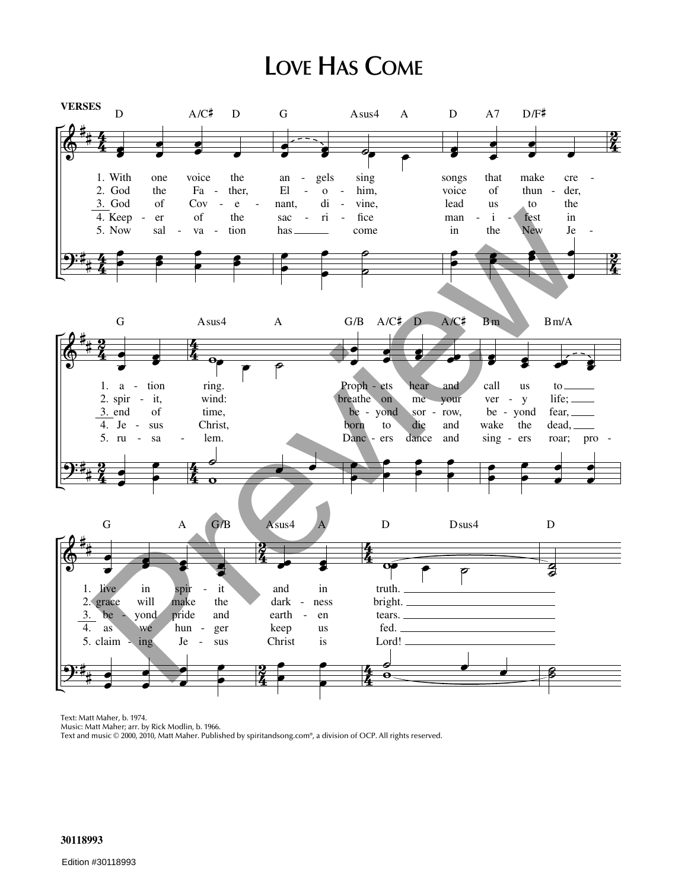## LOVE HAS COME



Text: Matt Maher, b. 1974.

Music: Matt Maher; arr. by Rick Modlin, b. 1966.

Text and music © 2000, 2010, Matt Maher. Published by spiritandsong.com®, a division of OCP. All rights reserved.